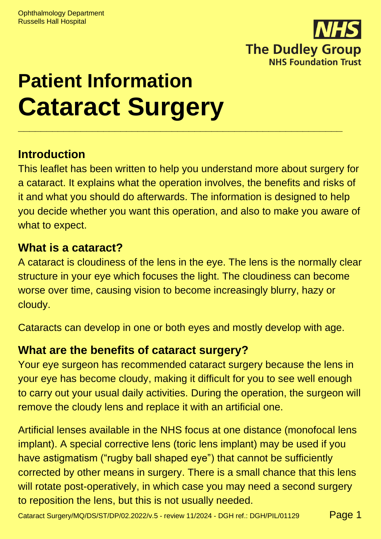

# **Patient Information Cataract Surgery \_\_\_\_\_\_\_\_\_\_\_\_\_\_\_\_\_\_\_\_\_\_\_\_\_\_\_\_\_\_\_\_\_\_\_\_\_\_\_\_\_\_\_\_\_\_\_\_\_\_\_\_\_\_\_\_\_**

### **Introduction**

This leaflet has been written to help you understand more about surgery for a cataract. It explains what the operation involves, the benefits and risks of it and what you should do afterwards. The information is designed to help you decide whether you want this operation, and also to make you aware of what to expect.

### **What is a cataract?**

A cataract is cloudiness of the lens in the eye. The lens is the normally clear structure in your eye which focuses the light. The cloudiness can become worse over time, causing vision to become increasingly blurry, hazy or cloudy.

Cataracts can develop in one or both eyes and mostly develop with age.

### **What are the benefits of cataract surgery?**

Your eye surgeon has recommended cataract surgery because the lens in your eye has become cloudy, making it difficult for you to see well enough to carry out your usual daily activities. During the operation, the surgeon will remove the cloudy lens and replace it with an artificial one.

Artificial lenses available in the NHS focus at one distance (monofocal lens implant). A special corrective lens (toric lens implant) may be used if you have astigmatism ("rugby ball shaped eye") that cannot be sufficiently corrected by other means in surgery. There is a small chance that this lens will rotate post-operatively, in which case you may need a second surgery to reposition the lens, but this is not usually needed.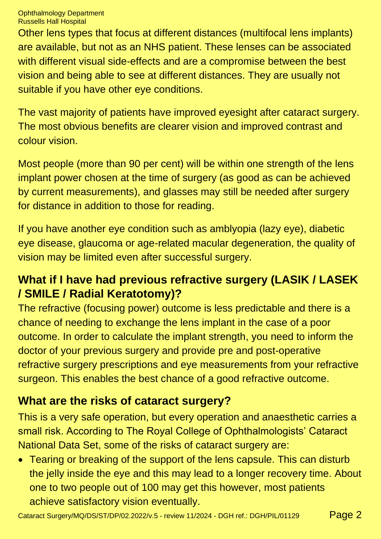Other lens types that focus at different distances (multifocal lens implants) are available, but not as an NHS patient. These lenses can be associated with different visual side-effects and are a compromise between the best vision and being able to see at different distances. They are usually not suitable if you have other eye conditions.

The vast majority of patients have improved eyesight after cataract surgery. The most obvious benefits are clearer vision and improved contrast and colour vision.

Most people (more than 90 per cent) will be within one strength of the lens implant power chosen at the time of surgery (as good as can be achieved by current measurements), and glasses may still be needed after surgery for distance in addition to those for reading.

If you have another eye condition such as amblyopia (lazy eye), diabetic eye disease, glaucoma or age-related macular degeneration, the quality of vision may be limited even after successful surgery.

## **What if I have had previous refractive surgery (LASIK / LASEK / SMILE / Radial Keratotomy)?**

The refractive (focusing power) outcome is less predictable and there is a chance of needing to exchange the lens implant in the case of a poor outcome. In order to calculate the implant strength, you need to inform the doctor of your previous surgery and provide pre and post-operative refractive surgery prescriptions and eye measurements from your refractive surgeon. This enables the best chance of a good refractive outcome.

# **What are the risks of cataract surgery?**

This is a very safe operation, but every operation and anaesthetic carries a small risk. According to The Royal College of Ophthalmologists' Cataract National Data Set, some of the risks of cataract surgery are:

• Tearing or breaking of the support of the lens capsule. This can disturb the jelly inside the eye and this may lead to a longer recovery time. About one to two people out of 100 may get this however, most patients achieve satisfactory vision eventually.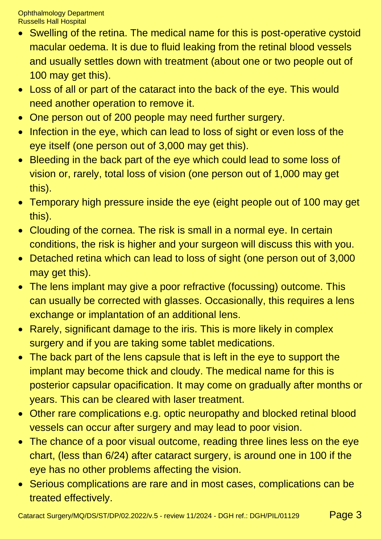- Swelling of the retina. The medical name for this is post-operative cystoid macular oedema. It is due to fluid leaking from the retinal blood vessels and usually settles down with treatment (about one or two people out of 100 may get this).
- Loss of all or part of the cataract into the back of the eye. This would need another operation to remove it.
- One person out of 200 people may need further surgery.
- Infection in the eye, which can lead to loss of sight or even loss of the eye itself (one person out of 3,000 may get this).
- Bleeding in the back part of the eye which could lead to some loss of vision or, rarely, total loss of vision (one person out of 1,000 may get this).
- Temporary high pressure inside the eye (eight people out of 100 may get this).
- Clouding of the cornea. The risk is small in a normal eye. In certain conditions, the risk is higher and your surgeon will discuss this with you.
- Detached retina which can lead to loss of sight (one person out of 3,000 may get this).
- The lens implant may give a poor refractive (focussing) outcome. This can usually be corrected with glasses. Occasionally, this requires a lens exchange or implantation of an additional lens.
- Rarely, significant damage to the iris. This is more likely in complex surgery and if you are taking some tablet medications.
- The back part of the lens capsule that is left in the eye to support the implant may become thick and cloudy. The medical name for this is posterior capsular opacification. It may come on gradually after months or years. This can be cleared with laser treatment.
- Other rare complications e.g. optic neuropathy and blocked retinal blood vessels can occur after surgery and may lead to poor vision.
- The chance of a poor visual outcome, reading three lines less on the eye chart, (less than 6/24) after cataract surgery, is around one in 100 if the eye has no other problems affecting the vision.
- Serious complications are rare and in most cases, complications can be treated effectively.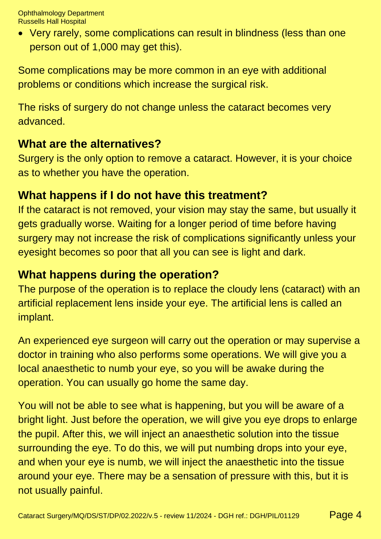• Very rarely, some complications can result in blindness (less than one person out of 1,000 may get this).

Some complications may be more common in an eye with additional problems or conditions which increase the surgical risk.

The risks of surgery do not change unless the cataract becomes very advanced.

#### **What are the alternatives?**

Surgery is the only option to remove a cataract. However, it is your choice as to whether you have the operation.

#### **What happens if I do not have this treatment?**

If the cataract is not removed, your vision may stay the same, but usually it gets gradually worse. Waiting for a longer period of time before having surgery may not increase the risk of complications significantly unless your eyesight becomes so poor that all you can see is light and dark.

#### **What happens during the operation?**

The purpose of the operation is to replace the cloudy lens (cataract) with an artificial replacement lens inside your eye. The artificial lens is called an implant.

An experienced eye surgeon will carry out the operation or may supervise a doctor in training who also performs some operations. We will give you a local anaesthetic to numb your eye, so you will be awake during the operation. You can usually go home the same day.

You will not be able to see what is happening, but you will be aware of a bright light. Just before the operation, we will give you eye drops to enlarge the pupil. After this, we will inject an anaesthetic solution into the tissue surrounding the eye. To do this, we will put numbing drops into your eye, and when your eye is numb, we will inject the anaesthetic into the tissue around your eye. There may be a sensation of pressure with this, but it is not usually painful.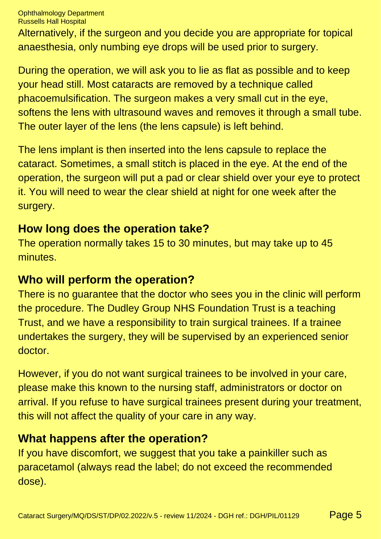Alternatively, if the surgeon and you decide you are appropriate for topical anaesthesia, only numbing eye drops will be used prior to surgery.

During the operation, we will ask you to lie as flat as possible and to keep your head still. Most cataracts are removed by a technique called phacoemulsification. The surgeon makes a very small cut in the eye, softens the lens with ultrasound waves and removes it through a small tube. The outer layer of the lens (the lens capsule) is left behind.

The lens implant is then inserted into the lens capsule to replace the cataract. Sometimes, a small stitch is placed in the eye. At the end of the operation, the surgeon will put a pad or clear shield over your eye to protect it. You will need to wear the clear shield at night for one week after the surgery.

#### **How long does the operation take?**

The operation normally takes 15 to 30 minutes, but may take up to 45 minutes.

#### **Who will perform the operation?**

There is no guarantee that the doctor who sees you in the clinic will perform the procedure. The Dudley Group NHS Foundation Trust is a teaching Trust, and we have a responsibility to train surgical trainees. If a trainee undertakes the surgery, they will be supervised by an experienced senior doctor.

However, if you do not want surgical trainees to be involved in your care, please make this known to the nursing staff, administrators or doctor on arrival. If you refuse to have surgical trainees present during your treatment, this will not affect the quality of your care in any way.

#### **What happens after the operation?**

If you have discomfort, we suggest that you take a painkiller such as paracetamol (always read the label; do not exceed the recommended dose).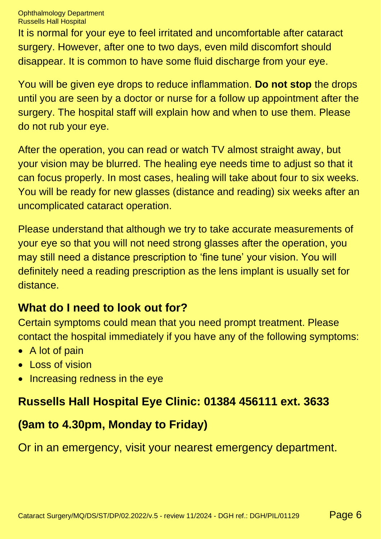It is normal for your eye to feel irritated and uncomfortable after cataract surgery. However, after one to two days, even mild discomfort should disappear. It is common to have some fluid discharge from your eye.

You will be given eye drops to reduce inflammation. **Do not stop** the drops until you are seen by a doctor or nurse for a follow up appointment after the surgery. The hospital staff will explain how and when to use them. Please do not rub your eye.

After the operation, you can read or watch TV almost straight away, but your vision may be blurred. The healing eye needs time to adjust so that it can focus properly. In most cases, healing will take about four to six weeks. You will be ready for new glasses (distance and reading) six weeks after an uncomplicated cataract operation.

Please understand that although we try to take accurate measurements of your eye so that you will not need strong glasses after the operation, you may still need a distance prescription to 'fine tune' your vision. You will definitely need a reading prescription as the lens implant is usually set for distance.

### **What do I need to look out for?**

Certain symptoms could mean that you need prompt treatment. Please contact the hospital immediately if you have any of the following symptoms:

- A lot of pain
- Loss of vision
- Increasing redness in the eye

### **Russells Hall Hospital Eye Clinic: 01384 456111 ext. 3633**

### **(9am to 4.30pm, Monday to Friday)**

Or in an emergency, visit your nearest emergency department.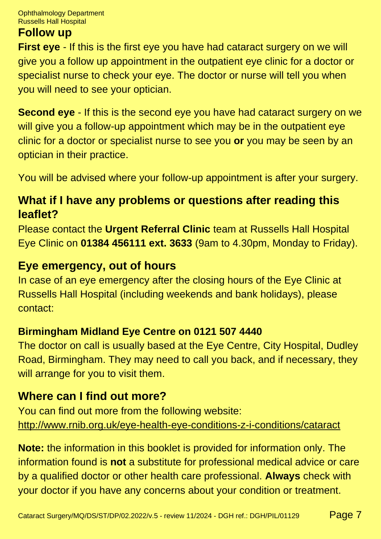#### **Follow up**

**First eye** - If this is the first eye you have had cataract surgery on we will give you a follow up appointment in the outpatient eye clinic for a doctor or specialist nurse to check your eye. The doctor or nurse will tell you when you will need to see your optician.

**Second eye** - If this is the second eye you have had cataract surgery on we will give you a follow-up appointment which may be in the outpatient eye clinic for a doctor or specialist nurse to see you **or** you may be seen by an optician in their practice.

You will be advised where your follow-up appointment is after your surgery.

#### **What if I have any problems or questions after reading this leaflet?**

Please contact the **Urgent Referral Clinic** team at Russells Hall Hospital Eye Clinic on **01384 456111 ext. 3633** (9am to 4.30pm, Monday to Friday).

#### **Eye emergency, out of hours**

In case of an eye emergency after the closing hours of the Eye Clinic at Russells Hall Hospital (including weekends and bank holidays), please contact:

#### **Birmingham Midland Eye Centre on 0121 507 4440**

The doctor on call is usually based at the Eye Centre, City Hospital, Dudley Road, Birmingham. They may need to call you back, and if necessary, they will arrange for you to visit them.

#### **Where can I find out more?**

You can find out more from the following website: <http://www.rnib.org.uk/eye-health-eye-conditions-z-i-conditions/cataract>

**Note:** the information in this booklet is provided for information only. The information found is **not** a substitute for professional medical advice or care by a qualified doctor or other health care professional. **Always** check with your doctor if you have any concerns about your condition or treatment.